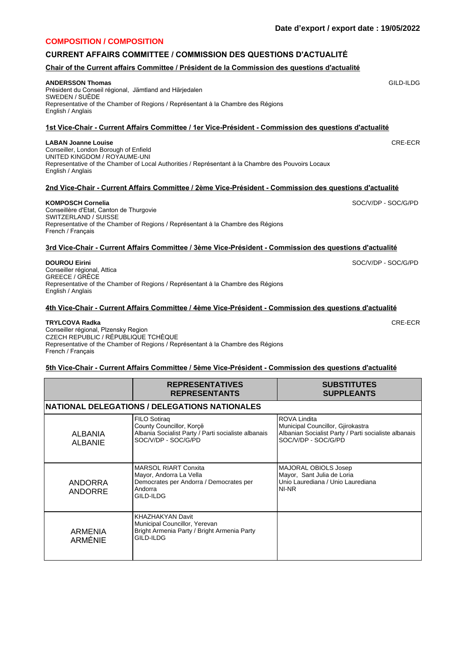#### **COMPOSITION / COMPOSITION**

# **CURRENT AFFAIRS COMMITTEE / COMMISSION DES QUESTIONS D'ACTUALITÉ**

### **Chair of the Current affairs Committee / Président de la Commission des questions d'actualité**

#### **ANDERSSON Thomas**

Président du Conseil régional, Jämtland and Härjedalen SWEDEN / SUÈDE Representative of the Chamber of Regions / Représentant à la Chambre des Régions English / Anglais

# **1st Vice-Chair - Current Affairs Committee / 1er Vice-Président - Commission des questions d'actualité**

#### **LABAN Joanne Louise**

Conseiller, London Borough of Enfield UNITED KINGDOM / ROYAUME-UNI Representative of the Chamber of Local Authorities / Représentant à la Chambre des Pouvoirs Locaux English / Anglais

# **2nd Vice-Chair - Current Affairs Committee / 2ème Vice-Président - Commission des questions d'actualité**

#### **KOMPOSCH Cornelia**

Conseillère d'Etat, Canton de Thurgovie SWITZERLAND / SUISSE Representative of the Chamber of Regions / Représentant à la Chambre des Régions French / Français

# **3rd Vice-Chair - Current Affairs Committee / 3ème Vice-Président - Commission des questions d'actualité**

**DOUROU Eirini**

Conseiller régional, Attica GREECE / GRÈCE Representative of the Chamber of Regions / Représentant à la Chambre des Régions English / Anglais

# **4th Vice-Chair - Current Affairs Committee / 4ème Vice-Président - Commission des questions d'actualité**

#### **TRYLCOVA Radka**

Conseiller régional, Plzensky Region CZECH REPUBLIC / RÉPUBLIQUE TCHÈQUE Representative of the Chamber of Regions / Représentant à la Chambre des Régions French / Français

#### **5th Vice-Chair - Current Affairs Committee / 5ème Vice-Président - Commission des questions d'actualité**

|                                  | <b>REPRESENTATIVES</b><br><b>REPRESENTANTS</b>                                                                            | <b>SUBSTITUTES</b><br><b>SUPPLEANTS</b>                                                                                          |  |  |
|----------------------------------|---------------------------------------------------------------------------------------------------------------------------|----------------------------------------------------------------------------------------------------------------------------------|--|--|
|                                  | <b>INATIONAL DELEGATIONS / DELEGATIONS NATIONALES</b>                                                                     |                                                                                                                                  |  |  |
| ALBANIA<br>ALBANIE               | FILO Sotirag<br>County Councillor, Korcë<br>Albania Socialist Party / Parti socialiste albanais<br>SOC/V/DP - SOC/G/PD    | ROVA Lindita<br>Municipal Councillor, Gjirokastra<br>Albanian Socialist Party / Parti socialiste albanais<br>SOC/V/DP - SOC/G/PD |  |  |
| <b>ANDORRA</b><br><b>ANDORRE</b> | <b>MARSOL RIART Conxita</b><br>Mayor, Andorra La Vella<br>Democrates per Andorra / Democrates per<br>Andorra<br>GILD-ILDG | MAJORAL OBIOLS Josep<br>Mayor, Sant Julia de Loria<br>Unio Laurediana / Unio Laurediana<br>NI-NR                                 |  |  |
| ARMENIA<br><b>ARMÉNIE</b>        | KHAZHAKYAN Davit<br>Municipal Councillor, Yerevan<br>Bright Armenia Party / Bright Armenia Party<br>GILD-ILDG             |                                                                                                                                  |  |  |

GILD-ILDG

CRE-ECR

SOC/V/DP - SOC/G/PD

SOC/V/DP - SOC/G/PD

CRE-ECR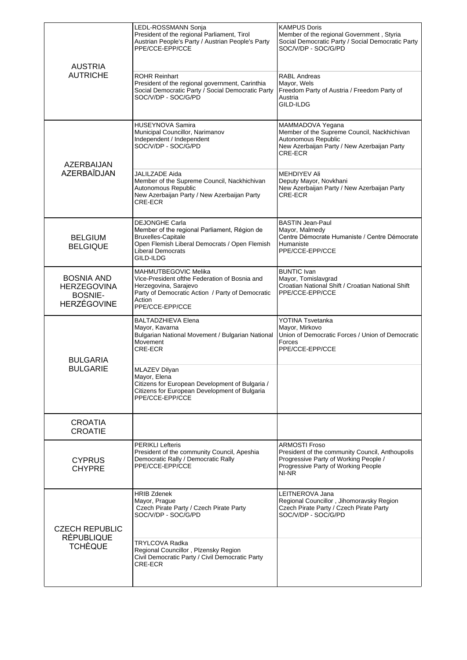| <b>AUSTRIA</b><br><b>AUTRICHE</b>                                               | LEDL-ROSSMANN Sonja<br>President of the regional Parliament, Tirol<br>Austrian People's Party / Austrian People's Party<br>PPE/CCE-EPP/CCE<br><b>ROHR Reinhart</b><br>President of the regional government, Carinthia<br>Social Democratic Party / Social Democratic Party<br>SOC/V/DP - SOC/G/PD | <b>KAMPUS Doris</b><br>Member of the regional Government, Styria<br>Social Democratic Party / Social Democratic Party<br>SOC/V/DP - SOC/G/PD<br><b>RABL Andreas</b><br>Mayor, Wels<br>Freedom Party of Austria / Freedom Party of<br>Austria<br>GILD-ILDG |
|---------------------------------------------------------------------------------|---------------------------------------------------------------------------------------------------------------------------------------------------------------------------------------------------------------------------------------------------------------------------------------------------|-----------------------------------------------------------------------------------------------------------------------------------------------------------------------------------------------------------------------------------------------------------|
| AZERBAIJAN<br><b>AZERBAÏDJAN</b>                                                | <b>HUSEYNOVA Samira</b><br>Municipal Councillor, Narimanov<br>Independent / Independent<br>SOC/V/DP - SOC/G/PD<br>JALILZADE Aida                                                                                                                                                                  | MAMMADOVA Yegana<br>Member of the Supreme Council, Nackhichivan<br>Autonomous Republic<br>New Azerbaijan Party / New Azerbaijan Party<br>CRE-ECR<br><b>MEHDIYEV Ali</b>                                                                                   |
|                                                                                 | Member of the Supreme Council, Nackhichivan<br>Autonomous Republic<br>New Azerbaijan Party / New Azerbaijan Party<br>CRE-ECR                                                                                                                                                                      | Deputy Mayor, Novkhani<br>New Azerbaijan Party / New Azerbaijan Party<br>CRE-ECR                                                                                                                                                                          |
| <b>BELGIUM</b><br><b>BELGIQUE</b>                                               | <b>DEJONGHE Carla</b><br>Member of the regional Parliament, Région de<br><b>Bruxelles-Capitale</b><br>Open Flemish Liberal Democrats / Open Flemish<br><b>Liberal Democrats</b><br>GILD-ILDG                                                                                                      | <b>BASTIN Jean-Paul</b><br>Mayor, Malmedy<br>Centre Démocrate Humaniste / Centre Démocrate<br>Humaniste<br>PPE/CCE-EPP/CCE                                                                                                                                |
| <b>BOSNIA AND</b><br><b>HERZEGOVINA</b><br><b>BOSNIE-</b><br><b>HERZÉGOVINE</b> | MAHMUTBEGOVIC Melika<br>Vice-President ofthe Federation of Bosnia and<br>Herzegovina, Sarajevo<br>Party of Democratic Action / Party of Democratic<br>Action<br>PPE/CCE-EPP/CCE                                                                                                                   | <b>BUNTIC Ivan</b><br>Mayor, Tomislavgrad<br>Croatian National Shift / Croatian National Shift<br>PPE/CCE-EPP/CCE                                                                                                                                         |
| <b>BULGARIA</b><br><b>BULGARIE</b>                                              | <b>BALTADZHIEVA Elena</b><br>Mayor, Kavarna<br>Bulgarian National Movement / Bulgarian National<br>Movement<br>CRE-ECR                                                                                                                                                                            | <b>YOTINA Tsvetanka</b><br>Mayor, Mirkovo<br>Union of Democratic Forces / Union of Democratic<br>Forces<br>PPE/CCE-EPP/CCE                                                                                                                                |
|                                                                                 | <b>MLAZEV Dilyan</b><br>Mayor, Elena<br>Citizens for European Development of Bulgaria /<br>Citizens for European Development of Bulgaria<br>PPE/CCE-EPP/CCE                                                                                                                                       |                                                                                                                                                                                                                                                           |
| <b>CROATIA</b><br><b>CROATIE</b>                                                |                                                                                                                                                                                                                                                                                                   |                                                                                                                                                                                                                                                           |
| <b>CYPRUS</b><br><b>CHYPRE</b>                                                  | <b>PERIKLI Lefteris</b><br>President of the community Council, Apeshia<br>Democratic Rally / Democratic Rally<br>PPE/CCE-EPP/CCE                                                                                                                                                                  | <b>ARMOSTI Froso</b><br>President of the community Council, Anthoupolis<br>Progressive Party of Working People /<br>Progressive Party of Working People<br>NI-NR                                                                                          |
| <b>CZECH REPUBLIC</b>                                                           | <b>HRIB Zdenek</b><br>Mayor, Prague<br>Czech Pirate Party / Czech Pirate Party<br>SOC/V/DP - SOC/G/PD                                                                                                                                                                                             | LEITNEROVA Jana<br>Regional Councillor, Jihomoravsky Region<br>Czech Pirate Party / Czech Pirate Party<br>SOC/V/DP - SOC/G/PD                                                                                                                             |
| <b>RÉPUBLIQUE</b><br><b>TCHÈQUE</b>                                             | TRYLCOVA Radka<br>Regional Councillor, Plzensky Region<br>Civil Democratic Party / Civil Democratic Party<br>CRE-ECR                                                                                                                                                                              |                                                                                                                                                                                                                                                           |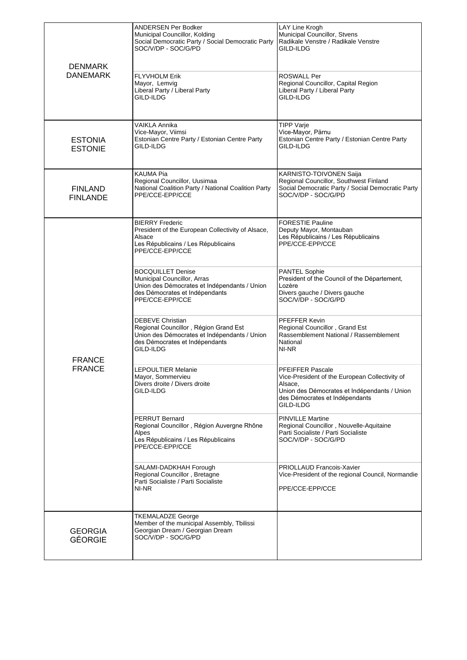| <b>DENMARK</b><br><b>DANEMARK</b> | ANDERSEN Per Bodker<br>Municipal Councillor, Kolding<br>Social Democratic Party / Social Democratic Party<br>SOC/V/DP - SOC/G/PD<br><b>FLYVHOLM Erik</b><br>Mayor, Lemvig<br>Liberal Party / Liberal Party<br>GILD-ILDG | LAY Line Krogh<br>Municipal Councillor, Stvens<br>Radikale Venstre / Radikale Venstre<br>GILD-ILDG<br><b>ROSWALL Per</b><br>Regional Councillor, Capital Region<br>Liberal Party / Liberal Party<br>GILD-ILDG |
|-----------------------------------|-------------------------------------------------------------------------------------------------------------------------------------------------------------------------------------------------------------------------|---------------------------------------------------------------------------------------------------------------------------------------------------------------------------------------------------------------|
| <b>ESTONIA</b><br><b>ESTONIE</b>  | VAIKLA Annika<br>Vice-Mayor, Viimsi<br>Estonian Centre Party / Estonian Centre Party<br>GILD-ILDG                                                                                                                       | <b>TIPP Varje</b><br>Vice-Mayor, Pärnu<br>Estonian Centre Party / Estonian Centre Party<br>GILD-ILDG                                                                                                          |
| <b>FINLAND</b><br><b>FINLANDE</b> | KAUMA Pia<br>Regional Councillor, Uusimaa<br>National Coalition Party / National Coalition Party<br>PPE/CCE-EPP/CCE                                                                                                     | KARNISTO-TOIVONEN Saija<br>Regional Councillor, Southwest Finland<br>Social Democratic Party / Social Democratic Party<br>SOC/V/DP - SOC/G/PD                                                                 |
|                                   | <b>BIERRY Frederic</b><br>President of the European Collectivity of Alsace,<br>Alsace<br>Les Républicains / Les Républicains<br>PPE/CCE-EPP/CCE                                                                         | <b>FORESTIE Pauline</b><br>Deputy Mayor, Montauban<br>Les Républicains / Les Républicains<br>PPE/CCE-EPP/CCE                                                                                                  |
| <b>FRANCE</b><br><b>FRANCE</b>    | <b>BOCQUILLET Denise</b><br>Municipal Councillor, Arras<br>Union des Démocrates et Indépendants / Union<br>des Démocrates et Indépendants<br>PPE/CCE-EPP/CCE                                                            | <b>PANTEL Sophie</b><br>President of the Council of the Département,<br>Lozère<br>Divers gauche / Divers gauche<br>SOC/V/DP - SOC/G/PD                                                                        |
|                                   | DEBEVE Christian<br>Regional Councillor, Région Grand Est<br>Union des Démocrates et Indépendants / Union<br>des Démocrates et Indépendants<br>GILD-ILDG                                                                | PFEFFER Kevin<br>Regional Councillor, Grand Est<br>Rassemblement National / Rassemblement<br>National<br>NI-NR                                                                                                |
|                                   | <b>LEPOULTIER Melanie</b><br>Mayor, Sommervieu<br>Divers droite / Divers droite<br>GILD-ILDG                                                                                                                            | <b>PFEIFFER Pascale</b><br>Vice-President of the European Collectivity of<br>Alsace.<br>Union des Démocrates et Indépendants / Union<br>des Démocrates et Indépendants<br>GILD-ILDG                           |
|                                   | PERRUT Bernard<br>Regional Councillor, Région Auvergne Rhône<br>Alpes<br>Les Républicains / Les Républicains<br>PPE/CCE-EPP/CCE                                                                                         | <b>PINVILLE Martine</b><br>Regional Councillor, Nouvelle-Aquitaine<br>Parti Socialiste / Parti Socialiste<br>SOC/V/DP - SOC/G/PD                                                                              |
|                                   | SALAMI-DADKHAH Forough<br>Regional Councillor, Bretagne<br>Parti Socialiste / Parti Socialiste<br>NI-NR                                                                                                                 | <b>PRIOLLAUD Francois-Xavier</b><br>Vice-President of the regional Council, Normandie<br>PPE/CCE-EPP/CCE                                                                                                      |
| <b>GEORGIA</b><br><b>GÉORGIE</b>  | <b>TKEMALADZE George</b><br>Member of the municipal Assembly, Tbilissi<br>Georgian Dream / Georgian Dream<br>SOC/V/DP - SOC/G/PD                                                                                        |                                                                                                                                                                                                               |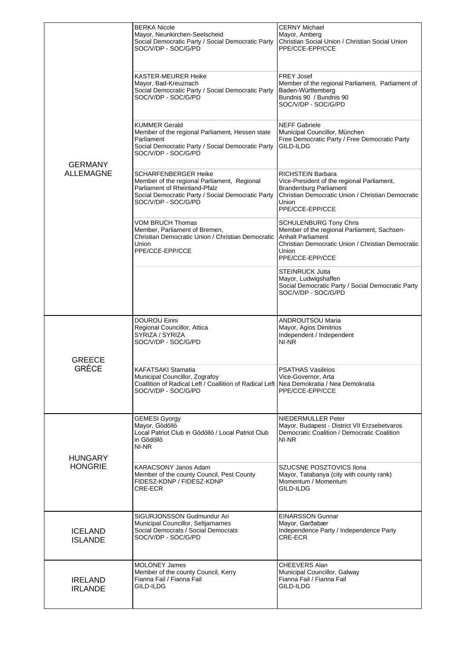|                                    | <b>BERKA Nicole</b><br>Mayor, Neunkirchen-Seelscheid<br>Social Democratic Party / Social Democratic Party                                                                        | <b>CERNY Michael</b><br>Mayor, Amberg<br>Christian Social Union / Christian Social Union                                                                                                  |
|------------------------------------|----------------------------------------------------------------------------------------------------------------------------------------------------------------------------------|-------------------------------------------------------------------------------------------------------------------------------------------------------------------------------------------|
|                                    | SOC/V/DP - SOC/G/PD                                                                                                                                                              | PPE/CCE-EPP/CCE                                                                                                                                                                           |
| <b>GERMANY</b><br><b>ALLEMAGNE</b> | KASTER-MEURER Heike<br>Mayor, Bad-Kreuznach<br>Social Democratic Party / Social Democratic Party<br>SOC/V/DP - SOC/G/PD                                                          | <b>FREY Josef</b><br>Member of the regional Parliament, Parliament of<br>Baden-Württemberg<br>Bundnis 90 / Bundnis 90<br>SOC/V/DP - SOC/G/PD                                              |
|                                    | KUMMER Gerald<br>Member of the regional Parliament, Hessen state<br>Parliament<br>Social Democratic Party / Social Democratic Party<br>SOC/V/DP - SOC/G/PD                       | <b>NEFF Gabriele</b><br>Municipal Councillor, München<br>Free Democratic Party / Free Democratic Party<br>GILD-ILDG                                                                       |
|                                    | SCHARFENBERGER Heike<br>Member of the regional Parliament, Regional<br>Parliament of Rheinland-Pfalz<br>Social Democratic Party / Social Democratic Party<br>SOC/V/DP - SOC/G/PD | RICHSTEIN Barbara<br>Vice-President of the regional Parliament,<br><b>Brandenburg Parliament</b><br>Christian Democratic Union / Christian Democratic<br>Union<br>PPE/CCE-EPP/CCE         |
|                                    | <b>VOM BRUCH Thomas</b><br>Member, Parliament of Bremen,<br>Christian Democratic Union / Christian Democratic<br>Union<br>PPE/CCE-EPP/CCE                                        | <b>SCHULENBURG Tony Chris</b><br>Member of the regional Parliament, Sachsen-<br><b>Anhalt Parliament</b><br>Christian Democratic Union / Christian Democratic<br>Union<br>PPE/CCE-EPP/CCE |
|                                    |                                                                                                                                                                                  | <b>STEINRUCK Jutta</b><br>Mayor, Ludwigshaffen<br>Social Democratic Party / Social Democratic Party<br>SOC/V/DP - SOC/G/PD                                                                |
|                                    | <b>DOUROU Eirini</b>                                                                                                                                                             | ANDROUTSOU Maria                                                                                                                                                                          |
|                                    | Regional Councillor, Attica<br>SYRIZA / SYRIZA<br>SOC/V/DP - SOC/G/PD                                                                                                            | Mayor, Agios Dimitrios<br>Independent / Independent<br>NI-NR                                                                                                                              |
| <b>GREECE</b><br><b>GRÈCE</b>      | KAFATSAKI Stamatia<br>Municipal Councillor, Zografoy<br>Coallition of Radical Left / Coallition of Radical Left Nea Demokratia / Nea Demokratia<br>SOC/V/DP - SOC/G/PD           | <b>PSATHAS Vasileios</b><br>Vice-Governor, Arta<br>PPE/CCE-EPP/CCE                                                                                                                        |
| <b>HUNGARY</b>                     | <b>GEMESI Gyorgy</b><br>Mayor, Gödöllö<br>Local Patriot Club in Gödöllö / Local Patriot Club<br>in Gödöllö<br>NI-NR                                                              | NIEDERMULLER Peter<br>Mayor, Budapest - District VII Erzsebetvaros<br>Democratic Coalition / Democratic Coalition<br>NI-NR                                                                |
| <b>HONGRIE</b>                     | KARACSONY Janos Adam<br>Member of the county Council, Pest County<br>FIDESZ-KDNP / FIDESZ-KDNP<br>CRE-ECR                                                                        | SZUCSNE POSZTOVICS Ilona<br>Mayor, Tatabanya (city with county rank)<br>Momentum / Momentum<br>GILD-ILDG                                                                                  |
| <b>ICELAND</b><br><b>ISLANDE</b>   | SIGURJONSSON Gudmundur Ari<br>Municipal Councillor, Seltjarnarnes<br>Social Democrats / Social Democrats<br>SOC/V/DP - SOC/G/PD                                                  | <b>EINARSSON Gunnar</b><br>Mayor, Garðabær<br>Independence Party / Independence Party<br>CRE-ECR                                                                                          |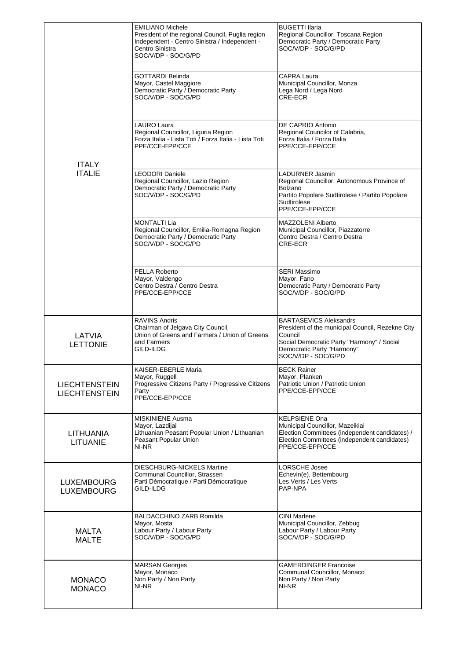|                                              | <b>EMILIANO Michele</b><br>President of the regional Council, Puglia region<br>Independent - Centro Sinistra / Independent -<br>Centro Sinistra<br>SOC/V/DP - SOC/G/PD<br><b>GOTTARDI Belinda</b><br>Mayor, Castel Maggiore<br>Democratic Party / Democratic Party<br>SOC/V/DP - SOC/G/PD<br>LAURO Laura | <b>BUGETTI Ilaria</b><br>Regional Councillor, Toscana Region<br>Democratic Party / Democratic Party<br>SOC/V/DP - SOC/G/PD<br>CAPRA Laura<br>Municipal Councillor, Monza<br>Lega Nord / Lega Nord<br>CRE-ECR<br>DE CAPRIO Antonio |
|----------------------------------------------|----------------------------------------------------------------------------------------------------------------------------------------------------------------------------------------------------------------------------------------------------------------------------------------------------------|-----------------------------------------------------------------------------------------------------------------------------------------------------------------------------------------------------------------------------------|
| <b>ITALY</b>                                 | Regional Councillor, Liguria Region<br>Forza Italia - Lista Toti / Forza Italia - Lista Toti<br>PPE/CCE-EPP/CCE                                                                                                                                                                                          | Regional Councilor of Calabria,<br>Forza Italia / Forza Italia<br>PPE/CCE-EPP/CCE                                                                                                                                                 |
| <b>ITALIE</b>                                | <b>LEODORI Daniele</b><br>Regional Councillor, Lazio Region<br>Democratic Party / Democratic Party<br>SOC/V/DP - SOC/G/PD                                                                                                                                                                                | LADURNER Jasmin<br>Regional Councillor, Autonomous Province of<br>Bolzano<br>Partito Popolare Sudtirolese / Partito Popolare<br>Sudtirolese<br>PPE/CCE-EPP/CCE                                                                    |
|                                              | <b>MONTALTI Lia</b><br>Regional Councillor, Emilia-Romagna Region<br>Democratic Party / Democratic Party<br>SOC/V/DP - SOC/G/PD                                                                                                                                                                          | <b>MAZZOLENI Alberto</b><br>Municipal Councillor, Piazzatorre<br>Centro Destra / Centro Destra<br>CRE-ECR                                                                                                                         |
|                                              | PELLA Roberto<br>Mayor, Valdengo<br>Centro Destra / Centro Destra<br>PPE/CCE-EPP/CCE                                                                                                                                                                                                                     | SERI Massimo<br>Mayor, Fano<br>Democratic Party / Democratic Party<br>SOC/V/DP - SOC/G/PD                                                                                                                                         |
| LATVIA<br><b>LETTONIE</b>                    | <b>RAVINS Andris</b><br>Chairman of Jelgava City Council,<br>Union of Greens and Farmers / Union of Greens<br>and Farmers<br>GILD-ILDG                                                                                                                                                                   | <b>BARTASEVICS Aleksandrs</b><br>President of the municipal Council, Rezekne City<br>Council<br>Social Democratic Party "Harmony" / Social<br>Democratic Party "Harmony"<br>SOC/V/DP - SOC/G/PD                                   |
| <b>LIECHTENSTEIN</b><br><b>LIECHTENSTEIN</b> | KAISER-EBERLE Maria<br>Mayor, Ruggell<br>Progressive Citizens Party / Progressive Citizens<br>Party<br>PPE/CCE-EPP/CCE                                                                                                                                                                                   | <b>BECK Rainer</b><br>Mayor, Planken<br>Patriotic Union / Patriotic Union<br>PPE/CCE-EPP/CCE                                                                                                                                      |
| <b>LITHUANIA</b><br><b>LITUANIE</b>          | <b>MISKINIENE Ausma</b><br>Mayor, Lazdijai<br>Lithuanian Peasant Popular Union / Lithuanian<br>Peasant Popular Union<br>NI-NR                                                                                                                                                                            | KELPSIENE Ona<br>Municipal Councillor, Mazeikiai<br>Election Committees (independent candidates) /<br>Election Committees (independent candidates)<br>PPE/CCE-EPP/CCE                                                             |
| <b>LUXEMBOURG</b><br><b>LUXEMBOURG</b>       | <b>DIESCHBURG-NICKELS Martine</b><br>Communal Councillor, Strassen<br>Parti Démocratique / Parti Démocratique<br>GILD-ILDG                                                                                                                                                                               | LORSCHE Josee<br>Echevin(e), Bettembourg<br>Les Verts / Les Verts<br>PAP-NPA                                                                                                                                                      |
| <b>MALTA</b><br><b>MALTE</b>                 | <b>BALDACCHINO ZARB Romilda</b><br>Mayor, Mosta<br>Labour Party / Labour Party<br>SOC/V/DP - SOC/G/PD                                                                                                                                                                                                    | <b>CINI Marlene</b><br>Municipal Councillor, Zebbug<br>Labour Party / Labour Party<br>SOC/V/DP - SOC/G/PD                                                                                                                         |
| <b>MONACO</b><br><b>MONACO</b>               | <b>MARSAN Georges</b><br>Mayor, Monaco<br>Non Party / Non Party<br>NI-NR                                                                                                                                                                                                                                 | <b>GAMERDINGER Francoise</b><br>Communal Councillor, Monaco<br>Non Party / Non Party<br>NI-NR                                                                                                                                     |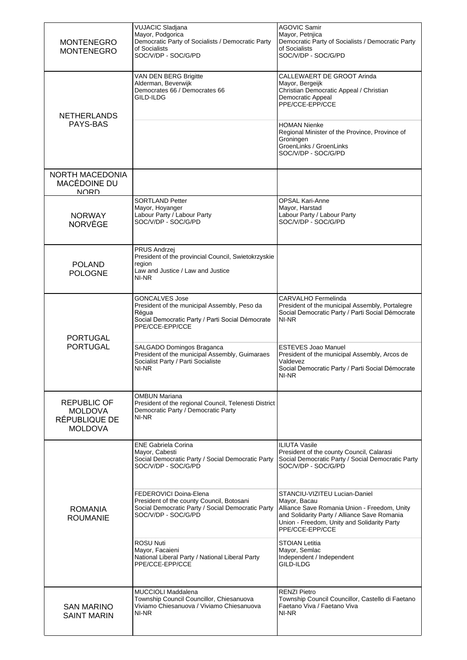| <b>MONTENEGRO</b><br><b>MONTENEGRO</b>                                  | <b>VUJACIC Sladjana</b><br>Mayor, Podgorica<br>Democratic Party of Socialists / Democratic Party<br>of Socialists<br>SOC/V/DP - SOC/G/PD              | <b>AGOVIC Samir</b><br>Mayor, Petnjica<br>Democratic Party of Socialists / Democratic Party<br>of Socialists<br>SOC/V/DP - SOC/G/PD                                                                             |
|-------------------------------------------------------------------------|-------------------------------------------------------------------------------------------------------------------------------------------------------|-----------------------------------------------------------------------------------------------------------------------------------------------------------------------------------------------------------------|
| <b>NETHERLANDS</b><br>PAYS-BAS                                          | VAN DEN BERG Brigitte<br>Alderman, Beverwijk<br>Democrates 66 / Democrates 66<br>GILD-ILDG                                                            | CALLEWAERT DE GROOT Arinda<br>Mayor, Bergeijk<br>Christian Democratic Appeal / Christian<br>Democratic Appeal<br>PPE/CCE-EPP/CCE<br><b>HOMAN Nienke</b>                                                         |
|                                                                         |                                                                                                                                                       | Regional Minister of the Province, Province of<br>Groningen<br>GroenLinks / GroenLinks<br>SOC/V/DP - SOC/G/PD                                                                                                   |
| <b>NORTH MACEDONIA</b><br>MACÉDOINE DU<br><b>NORD</b>                   |                                                                                                                                                       |                                                                                                                                                                                                                 |
| <b>NORWAY</b><br><b>NORVÈGE</b>                                         | <b>SORTLAND Petter</b><br>Mayor, Hoyanger<br>Labour Party / Labour Party<br>SOC/V/DP - SOC/G/PD                                                       | <b>OPSAL Kari-Anne</b><br>Mayor, Harstad<br>Labour Party / Labour Party<br>SOC/V/DP - SOC/G/PD                                                                                                                  |
| <b>POLAND</b><br><b>POLOGNE</b>                                         | PRUS Andrzej<br>President of the provincial Council, Swietokrzyskie<br>region<br>Law and Justice / Law and Justice<br>NI-NR                           |                                                                                                                                                                                                                 |
| <b>PORTUGAL</b><br><b>PORTUGAL</b>                                      | <b>GONCALVES Jose</b><br>President of the municipal Assembly, Peso da<br>Régua<br>Social Democratic Party / Parti Social Démocrate<br>PPE/CCE-EPP/CCE | CARVALHO Fermelinda<br>President of the municipal Assembly, Portalegre<br>Social Democratic Party / Parti Social Démocrate<br>NI-NR                                                                             |
|                                                                         | SALGADO Domingos Braganca<br>President of the municipal Assembly, Guimaraes<br>Socialist Party / Parti Socialiste<br>NI-NR                            | <b>ESTEVES Joao Manuel</b><br>President of the municipal Assembly, Arcos de<br>Valdevez<br>Social Democratic Party / Parti Social Démocrate<br>NI-NR                                                            |
| <b>REPUBLIC OF</b><br><b>MOLDOVA</b><br>RÉPUBLIQUE DE<br><b>MOLDOVA</b> | <b>OMBUN Mariana</b><br>President of the regional Council, Telenesti District<br>Democratic Party / Democratic Party<br>NI-NR                         |                                                                                                                                                                                                                 |
|                                                                         | <b>ENE Gabriela Corina</b><br>Mayor, Cabesti<br>Social Democratic Party / Social Democratic Party<br>SOC/V/DP - SOC/G/PD                              | <b>ILIUTA Vasile</b><br>President of the county Council, Calarasi<br>Social Democratic Party / Social Democratic Party<br>SOC/V/DP - SOC/G/PD                                                                   |
| <b>ROMANIA</b><br><b>ROUMANIE</b>                                       | FEDEROVICI Doina-Elena<br>President of the county Council, Botosani<br>Social Democratic Party / Social Democratic Party<br>SOC/V/DP - SOC/G/PD       | STANCIU-VIZITEU Lucian-Daniel<br>Mayor, Bacau<br>Alliance Save Romania Union - Freedom, Unity<br>and Solidarity Party / Alliance Save Romania<br>Union - Freedom, Unity and Solidarity Party<br>PPE/CCE-EPP/CCE |
|                                                                         | <b>ROSU Nuti</b><br>Mayor, Facaieni<br>National Liberal Party / National Liberal Party<br>PPE/CCE-EPP/CCE                                             | <b>STOIAN Letitia</b><br>Mayor, Semlac<br>Independent / Independent<br>GILD-ILDG                                                                                                                                |
| <b>SAN MARINO</b><br><b>SAINT MARIN</b>                                 | <b>MUCCIOLI Maddalena</b><br>Township Council Councillor, Chiesanuova<br>Viviamo Chiesanuova / Viviamo Chiesanuova<br>NI-NR                           | <b>RENZI Pietro</b><br>Township Council Councillor, Castello di Faetano<br>Faetano Viva / Faetano Viva<br>NI-NR                                                                                                 |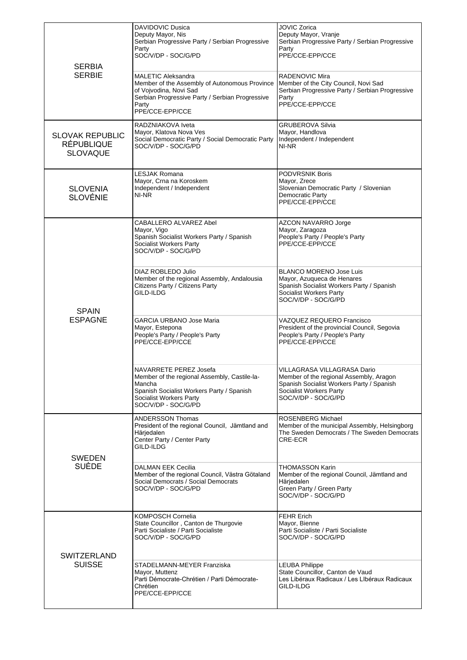| <b>SERBIA</b><br><b>SERBIE</b>                                 | <b>DAVIDOVIC Dusica</b><br>Deputy Mayor, Nis<br>Serbian Progressive Party / Serbian Progressive<br>Party<br>SOC/V/DP - SOC/G/PD<br><b>MALETIC Aleksandra</b><br>Member of the Assembly of Autonomous Province<br>of Vojvodina, Novi Sad<br>Serbian Progressive Party / Serbian Progressive<br>Party<br>PPE/CCE-EPP/CCE | JOVIC Zorica<br>Deputy Mayor, Vranje<br>Serbian Progressive Party / Serbian Progressive<br>Party<br>PPE/CCE-EPP/CCE<br>RADENOVIC Mira<br>Member of the City Council, Novi Sad<br>Serbian Progressive Party / Serbian Progressive<br>Party<br>PPE/CCE-EPP/CCE |
|----------------------------------------------------------------|------------------------------------------------------------------------------------------------------------------------------------------------------------------------------------------------------------------------------------------------------------------------------------------------------------------------|--------------------------------------------------------------------------------------------------------------------------------------------------------------------------------------------------------------------------------------------------------------|
| <b>SLOVAK REPUBLIC</b><br><b>RÉPUBLIQUE</b><br><b>SLOVAQUE</b> | RADZNIAKOVA Iveta<br>Mayor, Klatova Nova Ves<br>Social Democratic Party / Social Democratic Party<br>SOC/V/DP - SOC/G/PD                                                                                                                                                                                               | <b>GRUBEROVA Silvia</b><br>Mayor, Handlova<br>Independent / Independent<br>NI-NR                                                                                                                                                                             |
| <b>SLOVENIA</b><br><b>SLOVÉNIE</b>                             | <b>LESJAK Romana</b><br>Mayor, Crna na Koroskem<br>Independent / Independent<br>NI-NR                                                                                                                                                                                                                                  | <b>PODVRSNIK Boris</b><br>Mayor, Zrece<br>Slovenian Democratic Party / Slovenian<br>Democratic Party<br>PPE/CCE-EPP/CCE                                                                                                                                      |
| <b>SPAIN</b><br><b>ESPAGNE</b>                                 | CABALLERO ALVAREZ Abel<br>Mayor, Vigo<br>Spanish Socialist Workers Party / Spanish<br>Socialist Workers Party<br>SOC/V/DP - SOC/G/PD                                                                                                                                                                                   | AZCON NAVARRO Jorge<br>Mayor, Zaragoza<br>People's Party / People's Party<br>PPE/CCE-EPP/CCE                                                                                                                                                                 |
|                                                                | DIAZ ROBLEDO Julio<br>Member of the regional Assembly, Andalousia<br>Citizens Party / Citizens Party<br>GILD-ILDG                                                                                                                                                                                                      | <b>BLANCO MORENO Jose Luis</b><br>Mayor, Azuqueca de Henares<br>Spanish Socialist Workers Party / Spanish<br>Socialist Workers Party<br>SOC/V/DP - SOC/G/PD                                                                                                  |
|                                                                | <b>GARCIA URBANO Jose Maria</b><br>Mayor, Estepona<br>People's Party / People's Party<br>PPE/CCE-EPP/CCE                                                                                                                                                                                                               | VAZQUEZ REQUERO Francisco<br>President of the provincial Council, Segovia<br>People's Party / People's Party<br>PPE/CCE-EPP/CCE                                                                                                                              |
|                                                                | NAVARRETE PEREZ Josefa<br>Member of the regional Assembly, Castile-la-<br>Mancha<br>Spanish Socialist Workers Party / Spanish<br>Socialist Workers Party<br>SOC/V/DP - SOC/G/PD                                                                                                                                        | VILLAGRASA VILLAGRASA Dario<br>Member of the regional Assembly, Aragon<br>Spanish Socialist Workers Party / Spanish<br>Socialist Workers Party<br>SOC/V/DP - SOC/G/PD                                                                                        |
| <b>SWEDEN</b><br><b>SUÈDE</b>                                  | ANDERSSON Thomas<br>President of the regional Council, Jämtland and<br>Härjedalen<br>Center Party / Center Party<br>GILD-ILDG                                                                                                                                                                                          | ROSENBERG Michael<br>Member of the municipal Assembly, Helsingborg<br>The Sweden Democrats / The Sweden Democrats<br>CRE-ECR                                                                                                                                 |
|                                                                | DALMAN EEK Cecilia<br>Member of the regional Council, Västra Götaland<br>Social Democrats / Social Democrats<br>SOC/V/DP - SOC/G/PD                                                                                                                                                                                    | <b>THOMASSON Karin</b><br>Member of the regional Council, Jämtland and<br>Härjedalen<br>Green Party / Green Party<br>SOC/V/DP - SOC/G/PD                                                                                                                     |
| <b>SWITZERLAND</b><br><b>SUISSE</b>                            | KOMPOSCH Cornelia<br>State Councillor, Canton de Thurgovie<br>Parti Socialiste / Parti Socialiste<br>SOC/V/DP - SOC/G/PD                                                                                                                                                                                               | <b>FEHR Erich</b><br>Mayor, Bienne<br>Parti Socialiste / Parti Socialiste<br>SOC/V/DP - SOC/G/PD                                                                                                                                                             |
|                                                                | STADELMANN-MEYER Franziska<br>Mayor, Muttenz<br>Parti Démocrate-Chrétien / Parti Démocrate-<br>Chrétien<br>PPE/CCE-EPP/CCE                                                                                                                                                                                             | <b>LEUBA Philippe</b><br>State Councillor, Canton de Vaud<br>Les Libéraux Radicaux / Les LIbéraux Radicaux<br>GILD-ILDG                                                                                                                                      |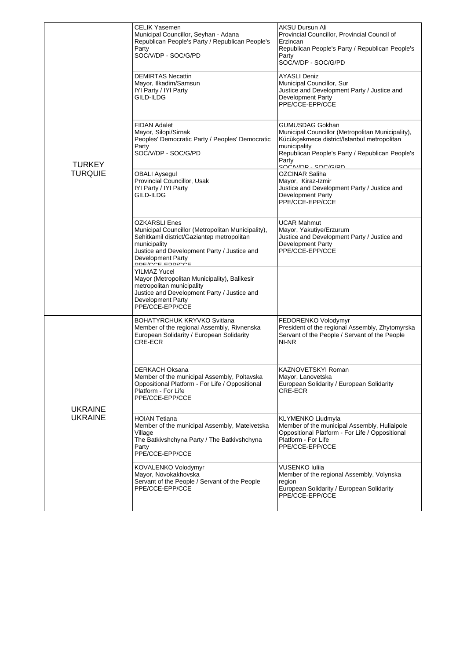| <b>TURKEY</b><br><b>TURQUIE</b>  | CELIK Yasemen<br>Municipal Councillor, Seyhan - Adana<br>Republican People's Party / Republican People's<br>Party<br>SOC/V/DP - SOC/G/PD                                                                                       | <b>AKSU Dursun Ali</b><br>Provincial Councillor, Provincial Council of<br>Erzincan<br>Republican People's Party / Republican People's<br>Party<br>SOC/V/DP - SOC/G/PD                                               |
|----------------------------------|--------------------------------------------------------------------------------------------------------------------------------------------------------------------------------------------------------------------------------|---------------------------------------------------------------------------------------------------------------------------------------------------------------------------------------------------------------------|
|                                  | <b>DEMIRTAS Necattin</b><br>Mayor, Ilkadim/Samsun<br>IYI Party / IYI Party<br>GILD-ILDG                                                                                                                                        | AYASLI Deniz<br>Municipal Councillor, Sur<br>Justice and Development Party / Justice and<br><b>Development Party</b><br>PPE/CCE-EPP/CCE                                                                             |
|                                  | <b>FIDAN Adalet</b><br>Mayor, Silopi/Sirnak<br>Peoples' Democratic Party / Peoples' Democratic<br>Party<br>SOC/V/DP - SOC/G/PD                                                                                                 | GUMUSDAG Gokhan<br>Municipal Councillor (Metropolitan Municipality),<br>Kücükçekmece district/Istanbul metropolitan<br>municipality<br>Republican People's Party / Republican People's<br>Party<br>enniump enniciph |
|                                  | <b>OBALI Aysegul</b><br>Provincial Councillor, Usak<br>IYI Party / IYI Party<br>GILD-ILDG                                                                                                                                      | OZCINAR Saliha<br>Mayor, Kiraz-Izmir<br>Justice and Development Party / Justice and<br><b>Development Party</b><br>PPE/CCE-EPP/CCE                                                                                  |
|                                  | <b>OZKARSLI Enes</b><br>Municipal Councillor (Metropolitan Municipality),<br>Sehitkamil district/Gaziantep metropolitan<br>municipality<br>Justice and Development Party / Justice and<br>Development Party<br>pperone epprone | <b>UCAR Mahmut</b><br>Mayor, Yakutiye/Erzurum<br>Justice and Development Party / Justice and<br>Development Party<br>PPE/CCE-EPP/CCE                                                                                |
|                                  | <b>YILMAZ Yucel</b><br>Mayor (Metropolitan Municipality), Balikesir<br>metropolitan municipality<br>Justice and Development Party / Justice and<br><b>Development Party</b><br>PPE/CCE-EPP/CCE                                 |                                                                                                                                                                                                                     |
| <b>UKRAINE</b><br><b>UKRAINE</b> | <b>BOHATYRCHUK KRYVKO Svitlana</b><br>Member of the regional Assembly, Rivnenska<br>European Solidarity / European Solidarity<br>CRE-ECR                                                                                       | FEDORENKO Volodymyr<br>President of the regional Assembly, Zhytomyrska<br>Servant of the People / Servant of the People<br>NI-NR                                                                                    |
|                                  | <b>DERKACH Oksana</b><br>Member of the municipal Assembly, Poltavska<br>Oppositional Platform - For Life / Oppositional<br>Platform - For Life<br>PPE/CCE-EPP/CCE                                                              | KAZNOVETSKYI Roman<br>Mayor, Lanovetska<br>European Solidarity / European Solidarity<br>CRE-ECR                                                                                                                     |
|                                  | <b>HOIAN Tetiana</b><br>Member of the municipal Assembly, Mateivetska<br>Village<br>The Batkivshchyna Party / The Batkivshchyna<br>Party<br>PPE/CCE-EPP/CCE                                                                    | KLYMENKO Liudmyla<br>Member of the municipal Assembly, Huliaipole<br>Oppositional Platform - For Life / Oppositional<br>Platform - For Life<br>PPE/CCE-EPP/CCE                                                      |
|                                  | KOVALENKO Volodymyr<br>Mayor, Novokakhovska<br>Servant of the People / Servant of the People<br>PPE/CCE-EPP/CCE                                                                                                                | VUSENKO luliia<br>Member of the regional Assembly, Volynska<br>region<br>European Solidarity / European Solidarity<br>PPE/CCE-EPP/CCE                                                                               |